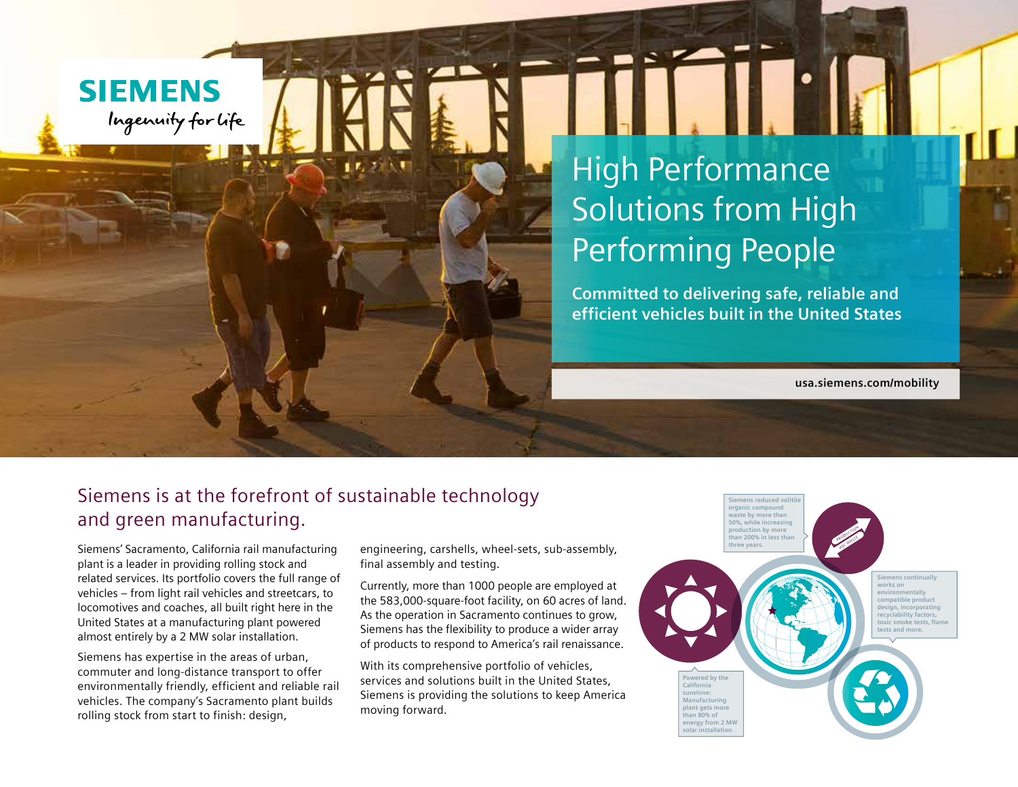## **SIEMENS** Ingenuity for life

## High Performance Solutions from High Performing People

**Committed to delivering safe, reliable and efficient vehicles built in the United States**

**usa.siemens.com/mobility**

## Siemens is at the forefront of sustainable technology and green manufacturing.

Siemens' Sacramento, California rail manufacturing plant is a leader in providing rolling stock and related services. Its portfolio covers the full range of vehicles – from light rail vehicles and streetcars, to locomotives and coaches, all built right here in the United States at a manufacturing plant powered almost entirely by a 2 MW solar installation.

Siemens has expertise in the areas of urban, commuter and long-distance transport to offer environmentally friendly, efficient and reliable rail vehicles. The company's Sacramento plant builds rolling stock from start to finish: design,

engineering, carshells, wheel-sets, sub-assembly, final assembly and testing.

Currently, more than 1000 people are employed at the 583,000-square-foot facility, on 60 acres of land. As the operation in Sacramento continues to grow, Siemens has the flexibility to produce a wider array of products to respond to America's rail renaissance.

With its comprehensive portfolio of vehicles, services and solutions built in the United States, Siemens is providing the solutions to keep America moving forward.